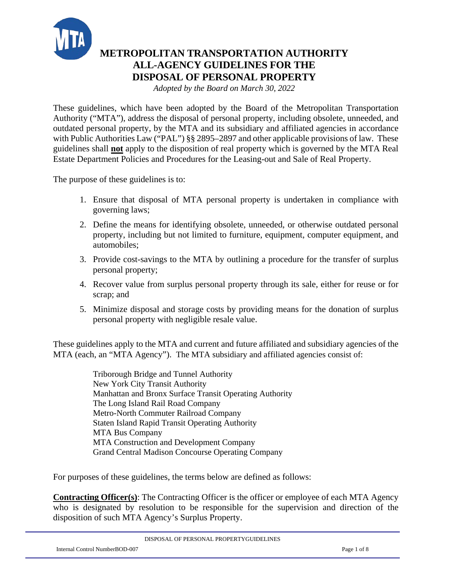

# **METROPOLITAN TRANSPORTATION AUTHORITY ALL-AGENCY GUIDELINES FOR THE DISPOSAL OF PERSONAL PROPERTY**

*Adopted by the Board on March 30, 2022*

These guidelines, which have been adopted by the Board of the Metropolitan Transportation Authority ("MTA"), address the disposal of personal property, including obsolete, unneeded, and outdated personal property, by the MTA and its subsidiary and affiliated agencies in accordance with Public Authorities Law ("PAL") §§ 2895–2897 and other applicable provisions of law. These guidelines shall **not** apply to the disposition of real property which is governed by the MTA Real Estate Department Policies and Procedures for the Leasing-out and Sale of Real Property.

The purpose of these guidelines is to:

- 1. Ensure that disposal of MTA personal property is undertaken in compliance with governing laws;
- 2. Define the means for identifying obsolete, unneeded, or otherwise outdated personal property, including but not limited to furniture, equipment, computer equipment, and automobiles;
- 3. Provide cost-savings to the MTA by outlining a procedure for the transfer of surplus personal property;
- 4. Recover value from surplus personal property through its sale, either for reuse or for scrap; and
- 5. Minimize disposal and storage costs by providing means for the donation of surplus personal property with negligible resale value.

These guidelines apply to the MTA and current and future affiliated and subsidiary agencies of the MTA (each, an "MTA Agency"). The MTA subsidiary and affiliated agencies consist of:

> Triborough Bridge and Tunnel Authority New York City Transit Authority Manhattan and Bronx Surface Transit Operating Authority The Long Island Rail Road Company Metro-North Commuter Railroad Company Staten Island Rapid Transit Operating Authority MTA Bus Company MTA Construction and Development Company Grand Central Madison Concourse Operating Company

For purposes of these guidelines, the terms below are defined as follows:

**Contracting Officer(s)**: The Contracting Officer is the officer or employee of each MTA Agency who is designated by resolution to be responsible for the supervision and direction of the disposition of such MTA Agency's Surplus Property.

| DISPOSAL OF PERSONAL PROPERTYGUIDELINES |
|-----------------------------------------|
|                                         |

Internal Control NumberBOD-007 Page 1 of 8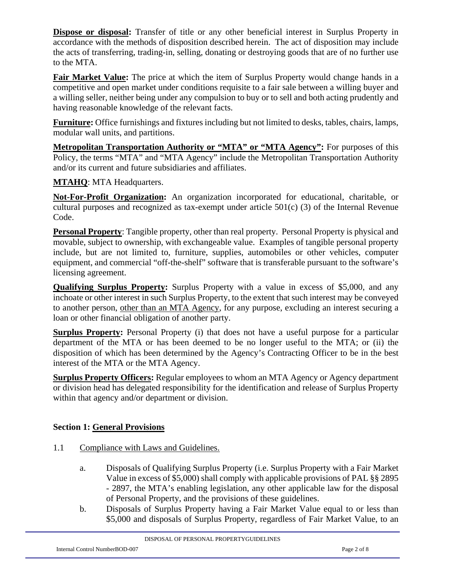**Dispose or disposal:** Transfer of title or any other beneficial interest in Surplus Property in accordance with the methods of disposition described herein. The act of disposition may include the acts of transferring, trading-in, selling, donating or destroying goods that are of no further use to the MTA.

**Fair Market Value:** The price at which the item of Surplus Property would change hands in a competitive and open market under conditions requisite to a fair sale between a willing buyer and a willing seller, neither being under any compulsion to buy or to sell and both acting prudently and having reasonable knowledge of the relevant facts.

**Furniture:** Office furnishings and fixtures including but not limited to desks, tables, chairs, lamps, modular wall units, and partitions.

**Metropolitan Transportation Authority or "MTA" or "MTA Agency":** For purposes of this Policy, the terms "MTA" and "MTA Agency" include the Metropolitan Transportation Authority and/or its current and future subsidiaries and affiliates.

**MTAHQ**: MTA Headquarters.

**Not-For-Profit Organization:** An organization incorporated for educational, charitable, or cultural purposes and recognized as tax-exempt under article 501(c) (3) of the Internal Revenue Code.

**Personal Property**: Tangible property, other than real property. Personal Property is physical and movable, subject to ownership, with exchangeable value. Examples of tangible personal property include, but are not limited to, furniture, supplies, automobiles or other vehicles, computer equipment, and commercial "off-the-shelf" software that is transferable pursuant to the software's licensing agreement.

**Qualifying Surplus Property:** Surplus Property with a value in excess of \$5,000, and any inchoate or other interest in such Surplus Property, to the extent that such interest may be conveyed to another person, other than an MTA Agency, for any purpose, excluding an interest securing a loan or other financial obligation of another party.

**Surplus Property:** Personal Property (i) that does not have a useful purpose for a particular department of the MTA or has been deemed to be no longer useful to the MTA; or (ii) the disposition of which has been determined by the Agency's Contracting Officer to be in the best interest of the MTA or the MTA Agency.

**Surplus Property Officers:** Regular employees to whom an MTA Agency or Agency department or division head has delegated responsibility for the identification and release of Surplus Property within that agency and/or department or division.

### **Section 1: General Provisions**

- 1.1 Compliance with Laws and Guidelines.
	- a. Disposals of Qualifying Surplus Property (i.e. Surplus Property with a Fair Market Value in excess of \$5,000) shall comply with applicable provisions of PAL §§ 2895 - 2897, the MTA's enabling legislation, any other applicable law for the disposal of Personal Property, and the provisions of these guidelines.
	- b. Disposals of Surplus Property having a Fair Market Value equal to or less than \$5,000 and disposals of Surplus Property, regardless of Fair Market Value, to an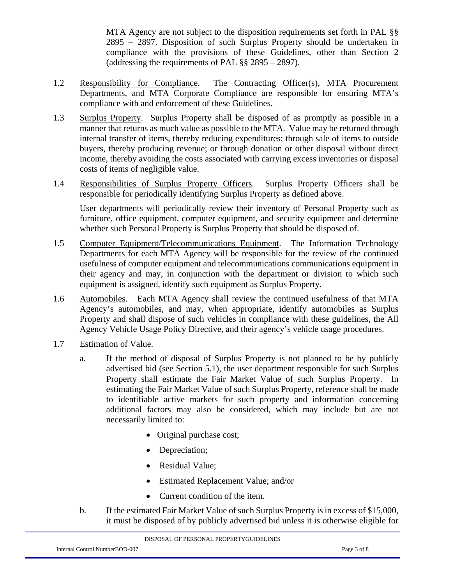MTA Agency are not subject to the disposition requirements set forth in PAL §§ 2895 – 2897. Disposition of such Surplus Property should be undertaken in compliance with the provisions of these Guidelines, other than Section 2 (addressing the requirements of PAL §§ 2895 – 2897).

- 1.2 Responsibility for Compliance. The Contracting Officer(s), MTA Procurement Departments, and MTA Corporate Compliance are responsible for ensuring MTA's compliance with and enforcement of these Guidelines.
- 1.3 Surplus Property. Surplus Property shall be disposed of as promptly as possible in a manner that returns as much value as possible to the MTA. Value may be returned through internal transfer of items, thereby reducing expenditures; through sale of items to outside buyers, thereby producing revenue; or through donation or other disposal without direct income, thereby avoiding the costs associated with carrying excess inventories or disposal costs of items of negligible value.
- 1.4 Responsibilities of Surplus Property Officers. Surplus Property Officers shall be responsible for periodically identifying Surplus Property as defined above.

User departments will periodically review their inventory of Personal Property such as furniture, office equipment, computer equipment, and security equipment and determine whether such Personal Property is Surplus Property that should be disposed of.

- 1.5 Computer Equipment/Telecommunications Equipment. The Information Technology Departments for each MTA Agency will be responsible for the review of the continued usefulness of computer equipment and telecommunications communications equipment in their agency and may, in conjunction with the department or division to which such equipment is assigned, identify such equipment as Surplus Property.
- 1.6 Automobiles. Each MTA Agency shall review the continued usefulness of that MTA Agency's automobiles, and may, when appropriate, identify automobiles as Surplus Property and shall dispose of such vehicles in compliance with these guidelines, the All Agency Vehicle Usage Policy Directive, and their agency's vehicle usage procedures.
- 1.7 Estimation of Value.
	- a. If the method of disposal of Surplus Property is not planned to be by publicly advertised bid (see Section 5.1), the user department responsible for such Surplus Property shall estimate the Fair Market Value of such Surplus Property. In estimating the Fair Market Value of such Surplus Property, reference shall be made to identifiable active markets for such property and information concerning additional factors may also be considered, which may include but are not necessarily limited to:
		- Original purchase cost;
		- Depreciation;
		- Residual Value;
		- Estimated Replacement Value; and/or
		- Current condition of the item.
	- b. If the estimated Fair Market Value of such Surplus Property is in excess of \$15,000, it must be disposed of by publicly advertised bid unless it is otherwise eligible for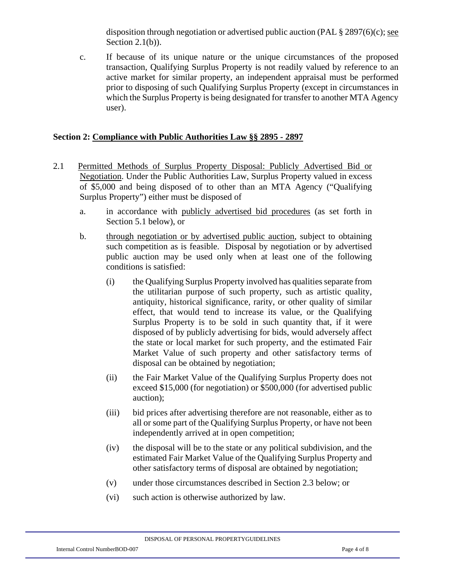disposition through negotiation or advertised public auction (PAL  $\S 2897(6)(c)$ ; see Section  $2.1(b)$ ).

c. If because of its unique nature or the unique circumstances of the proposed transaction, Qualifying Surplus Property is not readily valued by reference to an active market for similar property, an independent appraisal must be performed prior to disposing of such Qualifying Surplus Property (except in circumstances in which the Surplus Property is being designated for transfer to another MTA Agency user).

### **Section 2: Compliance with Public Authorities Law §§ 2895 - 2897**

- 2.1 Permitted Methods of Surplus Property Disposal: Publicly Advertised Bid or Negotiation. Under the Public Authorities Law, Surplus Property valued in excess of \$5,000 and being disposed of to other than an MTA Agency ("Qualifying Surplus Property") either must be disposed of
	- a. in accordance with publicly advertised bid procedures (as set forth in Section 5.1 below), or
	- b. through negotiation or by advertised public auction, subject to obtaining such competition as is feasible. Disposal by negotiation or by advertised public auction may be used only when at least one of the following conditions is satisfied:
		- (i) the Qualifying Surplus Property involved has qualities separate from the utilitarian purpose of such property, such as artistic quality, antiquity, historical significance, rarity, or other quality of similar effect, that would tend to increase its value, or the Qualifying Surplus Property is to be sold in such quantity that, if it were disposed of by publicly advertising for bids, would adversely affect the state or local market for such property, and the estimated Fair Market Value of such property and other satisfactory terms of disposal can be obtained by negotiation;
		- (ii) the Fair Market Value of the Qualifying Surplus Property does not exceed \$15,000 (for negotiation) or \$500,000 (for advertised public auction);
		- (iii) bid prices after advertising therefore are not reasonable, either as to all or some part of the Qualifying Surplus Property, or have not been independently arrived at in open competition;
		- (iv) the disposal will be to the state or any political subdivision, and the estimated Fair Market Value of the Qualifying Surplus Property and other satisfactory terms of disposal are obtained by negotiation;
		- (v) under those circumstances described in Section 2.3 below; or
		- (vi) such action is otherwise authorized by law.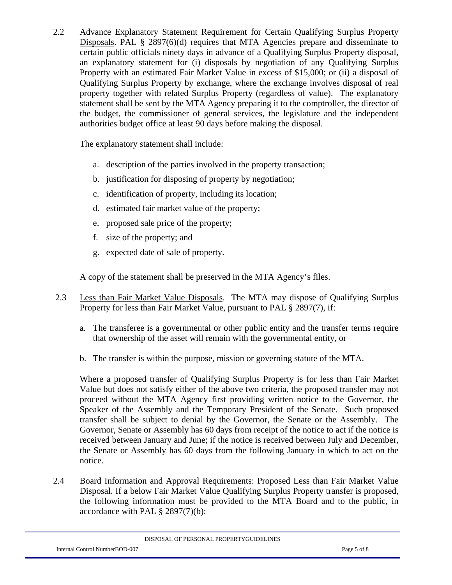2.2 Advance Explanatory Statement Requirement for Certain Qualifying Surplus Property Disposals. PAL § 2897(6)(d) requires that MTA Agencies prepare and disseminate to certain public officials ninety days in advance of a Qualifying Surplus Property disposal, an explanatory statement for (i) disposals by negotiation of any Qualifying Surplus Property with an estimated Fair Market Value in excess of \$15,000; or (ii) a disposal of Qualifying Surplus Property by exchange, where the exchange involves disposal of real property together with related Surplus Property (regardless of value). The explanatory statement shall be sent by the MTA Agency preparing it to the comptroller, the director of the budget, the commissioner of general services, the legislature and the independent authorities budget office at least 90 days before making the disposal.

The explanatory statement shall include:

- a. description of the parties involved in the property transaction;
- b. justification for disposing of property by negotiation;
- c. identification of property, including its location;
- d. estimated fair market value of the property;
- e. proposed sale price of the property;
- f. size of the property; and
- g. expected date of sale of property.

A copy of the statement shall be preserved in the MTA Agency's files.

- 2.3 Less than Fair Market Value Disposals. The MTA may dispose of Qualifying Surplus Property for less than Fair Market Value, pursuant to PAL § 2897(7), if:
	- a. The transferee is a governmental or other public entity and the transfer terms require that ownership of the asset will remain with the governmental entity, or
	- b. The transfer is within the purpose, mission or governing statute of the MTA.

Where a proposed transfer of Qualifying Surplus Property is for less than Fair Market Value but does not satisfy either of the above two criteria, the proposed transfer may not proceed without the MTA Agency first providing written notice to the Governor, the Speaker of the Assembly and the Temporary President of the Senate. Such proposed transfer shall be subject to denial by the Governor, the Senate or the Assembly. The Governor, Senate or Assembly has 60 days from receipt of the notice to act if the notice is received between January and June; if the notice is received between July and December, the Senate or Assembly has 60 days from the following January in which to act on the notice.

2.4 Board Information and Approval Requirements: Proposed Less than Fair Market Value Disposal. If a below Fair Market Value Qualifying Surplus Property transfer is proposed, the following information must be provided to the MTA Board and to the public, in accordance with PAL § 2897(7)(b):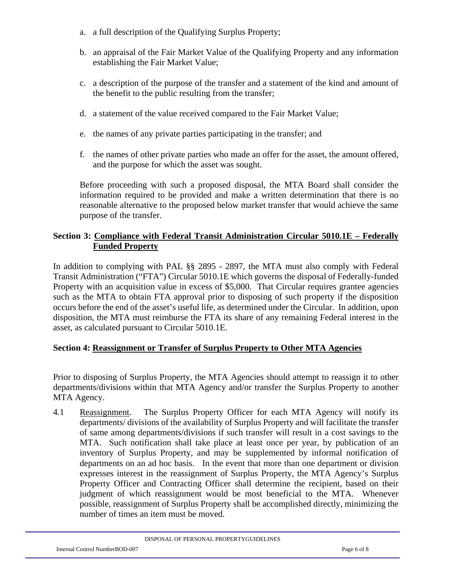- a. a full description of the Qualifying Surplus Property;
- b. an appraisal of the Fair Market Value of the Qualifying Property and any information establishing the Fair Market Value;
- c. a description of the purpose of the transfer and a statement of the kind and amount of the benefit to the public resulting from the transfer;
- d. a statement of the value received compared to the Fair Market Value;
- e. the names of any private parties participating in the transfer; and
- f. the names of other private parties who made an offer for the asset, the amount offered, and the purpose for which the asset was sought.

Before proceeding with such a proposed disposal, the MTA Board shall consider the information required to be provided and make a written determination that there is no reasonable alternative to the proposed below market transfer that would achieve the same purpose of the transfer.

### **Section 3: Compliance with Federal Transit Administration Circular 5010.1E – Federally Funded Property**

In addition to complying with PAL §§ 2895 - 2897, the MTA must also comply with Federal Transit Administration ("FTA") Circular 5010.1E which governs the disposal of Federally-funded Property with an acquisition value in excess of \$5,000. That Circular requires grantee agencies such as the MTA to obtain FTA approval prior to disposing of such property if the disposition occurs before the end of the asset's useful life, as determined under the Circular. In addition, upon disposition, the MTA must reimburse the FTA its share of any remaining Federal interest in the asset, as calculated pursuant to Circular 5010.1E.

## **Section 4: Reassignment or Transfer of Surplus Property to Other MTA Agencies**

Prior to disposing of Surplus Property, the MTA Agencies should attempt to reassign it to other departments/divisions within that MTA Agency and/or transfer the Surplus Property to another MTA Agency.

4.1 Reassignment. The Surplus Property Officer for each MTA Agency will notify its departments/ divisions of the availability of Surplus Property and will facilitate the transfer of same among departments/divisions if such transfer will result in a cost savings to the MTA. Such notification shall take place at least once per year, by publication of an inventory of Surplus Property, and may be supplemented by informal notification of departments on an ad hoc basis. In the event that more than one department or division expresses interest in the reassignment of Surplus Property, the MTA Agency's Surplus Property Officer and Contracting Officer shall determine the recipient, based on their judgment of which reassignment would be most beneficial to the MTA. Whenever possible, reassignment of Surplus Property shall be accomplished directly, minimizing the number of times an item must be moved.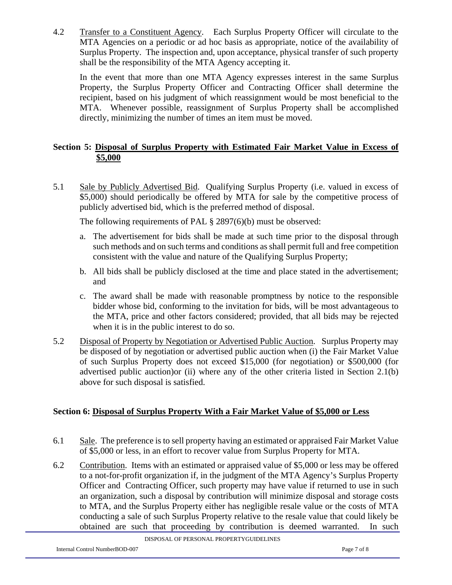4.2 Transfer to a Constituent Agency. Each Surplus Property Officer will circulate to the MTA Agencies on a periodic or ad hoc basis as appropriate, notice of the availability of Surplus Property. The inspection and, upon acceptance, physical transfer of such property shall be the responsibility of the MTA Agency accepting it.

In the event that more than one MTA Agency expresses interest in the same Surplus Property, the Surplus Property Officer and Contracting Officer shall determine the recipient, based on his judgment of which reassignment would be most beneficial to the MTA. Whenever possible, reassignment of Surplus Property shall be accomplished directly, minimizing the number of times an item must be moved.

### **Section 5: Disposal of Surplus Property with Estimated Fair Market Value in Excess of \$5,000**

5.1 Sale by Publicly Advertised Bid. Qualifying Surplus Property (i.e. valued in excess of \$5,000) should periodically be offered by MTA for sale by the competitive process of publicly advertised bid, which is the preferred method of disposal.

The following requirements of PAL § 2897(6)(b) must be observed:

- a. The advertisement for bids shall be made at such time prior to the disposal through such methods and on such terms and conditions as shall permit full and free competition consistent with the value and nature of the Qualifying Surplus Property;
- b. All bids shall be publicly disclosed at the time and place stated in the advertisement; and
- c. The award shall be made with reasonable promptness by notice to the responsible bidder whose bid, conforming to the invitation for bids, will be most advantageous to the MTA, price and other factors considered; provided, that all bids may be rejected when it is in the public interest to do so.
- 5.2 Disposal of Property by Negotiation or Advertised Public Auction. Surplus Property may be disposed of by negotiation or advertised public auction when (i) the Fair Market Value of such Surplus Property does not exceed \$15,000 (for negotiation) or \$500,000 (for advertised public auction)or (ii) where any of the other criteria listed in Section 2.1(b) above for such disposal is satisfied.

### **Section 6: Disposal of Surplus Property With a Fair Market Value of \$5,000 or Less**

- 6.1 Sale. The preference is to sell property having an estimated or appraised Fair Market Value of \$5,000 or less, in an effort to recover value from Surplus Property for MTA.
- 6.2 Contribution. Items with an estimated or appraised value of \$5,000 or less may be offered to a not-for-profit organization if, in the judgment of the MTA Agency's Surplus Property Officer and Contracting Officer, such property may have value if returned to use in such an organization, such a disposal by contribution will minimize disposal and storage costs to MTA, and the Surplus Property either has negligible resale value or the costs of MTA conducting a sale of such Surplus Property relative to the resale value that could likely be obtained are such that proceeding by contribution is deemed warranted. In such

DISPOSAL OF PERSONAL PROPERTYGUIDELINES

Internal Control NumberBOD-007 Page 7 of 8